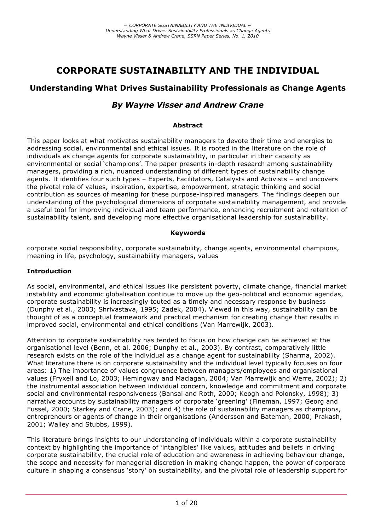# **CORPORATE SUSTAINABILITY AND THE INDIVIDUAL**

# **Understanding What Drives Sustainability Professionals as Change Agents**

# *By Wayne Visser and Andrew Crane*

#### **Abstract**

This paper looks at what motivates sustainability managers to devote their time and energies to addressing social, environmental and ethical issues. It is rooted in the literature on the role of individuals as change agents for corporate sustainability, in particular in their capacity as environmental or social 'champions'. The paper presents in-depth research among sustainability managers, providing a rich, nuanced understanding of different types of sustainability change agents. It identifies four such types – Experts, Facilitators, Catalysts and Activists – and uncovers the pivotal role of values, inspiration, expertise, empowerment, strategic thinking and social contribution as sources of meaning for these purpose-inspired managers. The findings deepen our understanding of the psychological dimensions of corporate sustainability management, and provide a useful tool for improving individual and team performance, enhancing recruitment and retention of sustainability talent, and developing more effective organisational leadership for sustainability.

#### **Keywords**

corporate social responsibility, corporate sustainability, change agents, environmental champions, meaning in life, psychology, sustainability managers, values

#### **Introduction**

As social, environmental, and ethical issues like persistent poverty, climate change, financial market instability and economic globalisation continue to move up the geo-political and economic agendas, corporate sustainability is increasingly touted as a timely and necessary response by business (Dunphy et al., 2003; Shrivastava, 1995; Zadek, 2004). Viewed in this way, sustainability can be thought of as a conceptual framework and practical mechanism for creating change that results in improved social, environmental and ethical conditions (Van Marrewijk, 2003).

Attention to corporate sustainability has tended to focus on how change can be achieved at the organisational level (Benn, et al. 2006; Dunphy et al., 2003). By contrast, comparatively little research exists on the role of the individual as a change agent for sustainability (Sharma, 2002). What literature there is on corporate sustainability and the individual level typically focuses on four areas: 1) The importance of values congruence between managers/employees and organisational values (Fryxell and Lo, 2003; Hemingway and Maclagan, 2004; Van Marrewijk and Werre, 2002); 2) the instrumental association between individual concern, knowledge and commitment and corporate social and environmental responsiveness (Bansal and Roth, 2000; Keogh and Polonsky, 1998); 3) narrative accounts by sustainability managers of corporate 'greening' (Fineman, 1997; Georg and Fussel, 2000; Starkey and Crane, 2003); and 4) the role of sustainability managers as champions, entrepreneurs or agents of change in their organisations (Andersson and Bateman, 2000; Prakash, 2001; Walley and Stubbs, 1999).

This literature brings insights to our understanding of individuals within a corporate sustainability context by highlighting the importance of 'intangibles' like values, attitudes and beliefs in driving corporate sustainability, the crucial role of education and awareness in achieving behaviour change, the scope and necessity for managerial discretion in making change happen, the power of corporate culture in shaping a consensus 'story' on sustainability, and the pivotal role of leadership support for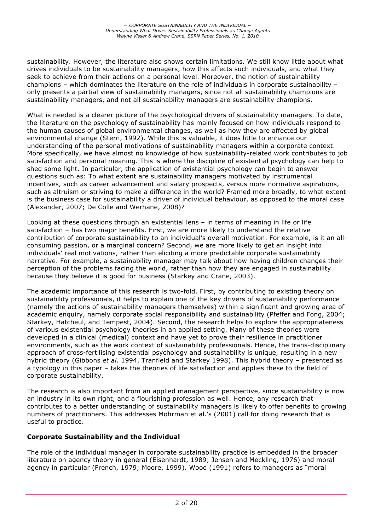sustainability. However, the literature also shows certain limitations. We still know little about what drives individuals to be sustainability managers, how this affects such individuals, and what they seek to achieve from their actions on a personal level. Moreover, the notion of sustainability champions – which dominates the literature on the role of individuals in corporate sustainability – only presents a partial view of sustainability managers, since not all sustainability champions are sustainability managers, and not all sustainability managers are sustainability champions.

What is needed is a clearer picture of the psychological drivers of sustainability managers. To date, the literature on the psychology of sustainability has mainly focused on how individuals respond to the human causes of global environmental changes, as well as how they are affected by global environmental change (Stern, 1992). While this is valuable, it does little to enhance our understanding of the personal motivations of sustainability managers within a corporate context. More specifically, we have almost no knowledge of how sustainability-related work contributes to job satisfaction and personal meaning. This is where the discipline of existential psychology can help to shed some light. In particular, the application of existential psychology can begin to answer questions such as: To what extent are sustainability managers motivated by instrumental incentives, such as career advancement and salary prospects, versus more normative aspirations, such as altruism or striving to make a difference in the world? Framed more broadly, to what extent is the business case for sustainability a driver of individual behaviour, as opposed to the moral case (Alexander, 2007; De Colle and Werhane, 2008)?

Looking at these questions through an existential lens – in terms of meaning in life or life satisfaction – has two major benefits. First, we are more likely to understand the relative contribution of corporate sustainability to an individual's overall motivation. For example, is it an allconsuming passion, or a marginal concern? Second, we are more likely to get an insight into individuals' real motivations, rather than eliciting a more predictable corporate sustainability narrative. For example, a sustainability manager may talk about how having children changes their perception of the problems facing the world, rather than how they are engaged in sustainability because they believe it is good for business (Starkey and Crane, 2003).

The academic importance of this research is two-fold. First, by contributing to existing theory on sustainability professionals, it helps to explain one of the key drivers of sustainability performance (namely the actions of sustainability managers themselves) within a significant and growing area of academic enquiry, namely corporate social responsibility and sustainability (Pfeffer and Fong, 2004; Starkey, Hatcheul, and Tempest, 2004). Second, the research helps to explore the appropriateness of various existential psychology theories in an applied setting. Many of these theories were developed in a clinical (medical) context and have yet to prove their resilience in practitioner environments, such as the work context of sustainability professionals. Hence, the trans-disciplinary approach of cross-fertilising existential psychology and sustainability is unique, resulting in a new hybrid theory (Gibbons *et al.* 1994, Tranfield and Starkey 1998). This hybrid theory – presented as a typology in this paper – takes the theories of life satisfaction and applies these to the field of corporate sustainability.

The research is also important from an applied management perspective, since sustainability is now an industry in its own right, and a flourishing profession as well. Hence, any research that contributes to a better understanding of sustainability managers is likely to offer benefits to growing numbers of practitioners. This addresses Mohrman et al.'s (2001) call for doing research that is useful to practice.

# **Corporate Sustainability and the Individual**

The role of the individual manager in corporate sustainability practice is embedded in the broader literature on agency theory in general (Eisenhardt, 1989; Jensen and Meckling, 1976) and moral agency in particular (French, 1979; Moore, 1999). Wood (1991) refers to managers as "moral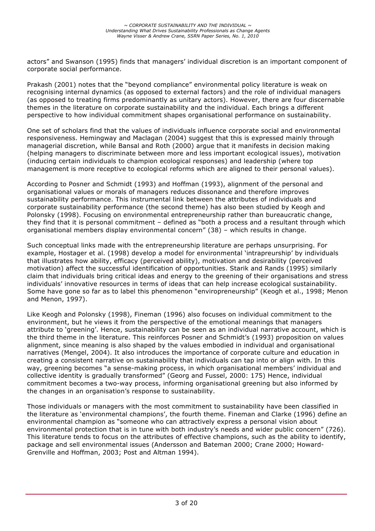actors" and Swanson (1995) finds that managers' individual discretion is an important component of corporate social performance.

Prakash (2001) notes that the "beyond compliance" environmental policy literature is weak on recognising internal dynamics (as opposed to external factors) and the role of individual managers (as opposed to treating firms predominantly as unitary actors). However, there are four discernable themes in the literature on corporate sustainability and the individual. Each brings a different perspective to how individual commitment shapes organisational performance on sustainability.

One set of scholars find that the values of individuals influence corporate social and environmental responsiveness. Hemingway and Maclagan (2004) suggest that this is expressed mainly through managerial discretion, while Bansal and Roth (2000) argue that it manifests in decision making (helping managers to discriminate between more and less important ecological issues), motivation (inducing certain individuals to champion ecological responses) and leadership (where top management is more receptive to ecological reforms which are aligned to their personal values).

According to Posner and Schmidt (1993) and Hoffman (1993), alignment of the personal and organisational values or morals of managers reduces dissonance and therefore improves sustainability performance. This instrumental link between the attributes of individuals and corporate sustainability performance (the second theme) has also been studied by Keogh and Polonsky (1998). Focusing on environmental entrepreneurship rather than bureaucratic change, they find that it is personal commitment – defined as "both a process and a resultant through which organisational members display environmental concern" (38) – which results in change.

Such conceptual links made with the entrepreneurship literature are perhaps unsurprising. For example, Hostager et al. (1998) develop a model for environmental 'intrapreurship' by individuals that illustrates how ability, efficacy (perceived ability), motivation and desirability (perceived motivation) affect the successful identification of opportunities. Starik and Rands (1995) similarly claim that individuals bring critical ideas and energy to the greening of their organisations and stress individuals' innovative resources in terms of ideas that can help increase ecological sustainability. Some have gone so far as to label this phenomenon "enviropreneurship" (Keogh et al., 1998; Menon and Menon, 1997).

Like Keogh and Polonsky (1998), Fineman (1996) also focuses on individual commitment to the environment, but he views it from the perspective of the emotional meanings that managers attribute to 'greening'. Hence, sustainability can be seen as an individual narrative account, which is the third theme in the literature. This reinforces Posner and Schmidt's (1993) proposition on values alignment, since meaning is also shaped by the values embodied in individual and organisational narratives (Mengel, 2004). It also introduces the importance of corporate culture and education in creating a consistent narrative on sustainability that individuals can tap into or align with. In this way, greening becomes "a sense-making process, in which organisational members' individual and collective identity is gradually transformed" (Georg and Fussel, 2000: 175) Hence, individual commitment becomes a two-way process, informing organisational greening but also informed by the changes in an organisation's response to sustainability.

Those individuals or managers with the most commitment to sustainability have been classified in the literature as 'environmental champions', the fourth theme. Fineman and Clarke (1996) define an environmental champion as "someone who can attractively express a personal vision about environmental protection that is in tune with both industry's needs and wider public concern" (726). This literature tends to focus on the attributes of effective champions, such as the ability to identify, package and sell environmental issues (Andersson and Bateman 2000; Crane 2000; Howard-Grenville and Hoffman, 2003; Post and Altman 1994).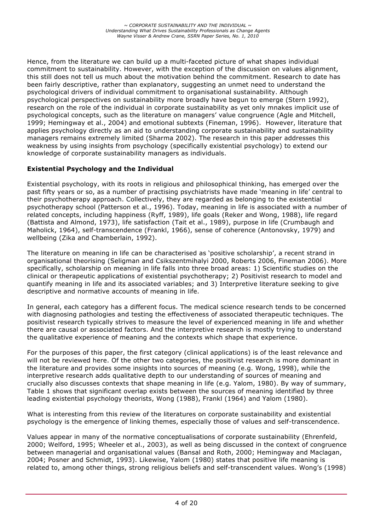Hence, from the literature we can build up a multi-faceted picture of what shapes individual commitment to sustainability. However, with the exception of the discussion on values alignment, this still does not tell us much about the motivation behind the commitment. Research to date has been fairly descriptive, rather than explanatory, suggesting an unmet need to understand the psychological drivers of individual commitment to organisational sustainability. Although psychological perspectives on sustainability more broadly have begun to emerge (Stern 1992), research on the role of the individual in corporate sustainability as yet only mnakes implicit use of psychological concepts, such as the literature on managers' value congruence (Agle and Mitchell, 1999; Hemingway et al., 2004) and emotional subtexts (Fineman, 1996). However, literature that applies psychology directly as an aid to understanding corporate sustainability and sustainability managers remains extremely limited (Sharma 2002). The research in this paper addresses this weakness by using insights from psychology (specifically existential psychology) to extend our knowledge of corporate sustainability managers as individuals.

# **Existential Psychology and the Individual**

Existential psychology, with its roots in religious and philosophical thinking, has emerged over the past fifty years or so, as a number of practising psychiatrists have made 'meaning in life' central to their psychotherapy approach. Collectively, they are regarded as belonging to the existential psychotherapy school (Patterson et al., 1996). Today, meaning in life is associated with a number of related concepts, including happiness (Ryff, 1989), life goals (Reker and Wong, 1988), life regard (Battista and Almond, 1973), life satisfaction (Tait et al., 1989), purpose in life (Crumbaugh and Maholick, 1964), self-transcendence (Frankl, 1966), sense of coherence (Antonovsky, 1979) and wellbeing (Zika and Chamberlain, 1992).

The literature on meaning in life can be characterised as 'positive scholarship', a recent strand in organisational theorising (Seligman and Csikszentmihalyi 2000, Roberts 2006, Fineman 2006). More specifically, scholarship on meaning in life falls into three broad areas: 1) Scientific studies on the clinical or therapeutic applications of existential psychotherapy; 2) Positivist research to model and quantify meaning in life and its associated variables; and 3) Interpretive literature seeking to give descriptive and normative accounts of meaning in life.

In general, each category has a different focus. The medical science research tends to be concerned with diagnosing pathologies and testing the effectiveness of associated therapeutic techniques. The positivist research typically strives to measure the level of experienced meaning in life and whether there are causal or associated factors. And the interpretive research is mostly trying to understand the qualitative experience of meaning and the contexts which shape that experience.

For the purposes of this paper, the first category (clinical applications) is of the least relevance and will not be reviewed here. Of the other two categories, the positivist research is more dominant in the literature and provides some insights into sources of meaning (e.g. Wong, 1998), while the interpretive research adds qualitative depth to our understanding of sources of meaning and crucially also discusses contexts that shape meaning in life (e.g. Yalom, 1980). By way of summary, Table 1 shows that significant overlap exists between the sources of meaning identified by three leading existential psychology theorists, Wong (1988), Frankl (1964) and Yalom (1980).

What is interesting from this review of the literatures on corporate sustainability and existential psychology is the emergence of linking themes, especially those of values and self-transcendence.

Values appear in many of the normative conceptualisations of corporate sustainability (Ehrenfeld, 2000; Welford, 1995; Wheeler et al., 2003), as well as being discussed in the context of congruence between managerial and organisational values (Bansal and Roth, 2000; Hemingway and Maclagan, 2004; Posner and Schmidt, 1993). Likewise, Yalom (1980) states that positive life meaning is related to, among other things, strong religious beliefs and self-transcendent values. Wong's (1998)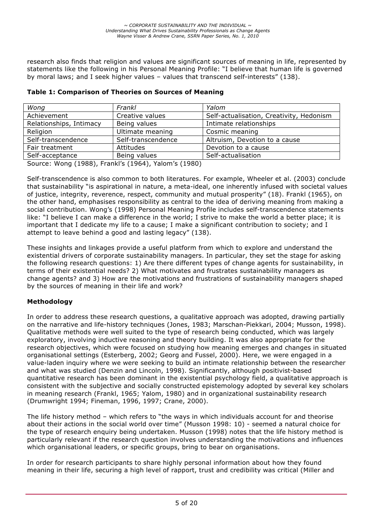research also finds that religion and values are significant sources of meaning in life, represented by statements like the following in his Personal Meaning Profile: "I believe that human life is governed by moral laws; and I seek higher values – values that transcend self-interests" (138).

| Wong                    | Frankl             | Yalom                                    |  |  |
|-------------------------|--------------------|------------------------------------------|--|--|
| Achievement             | Creative values    | Self-actualisation, Creativity, Hedonism |  |  |
| Relationships, Intimacy | Being values       | Intimate relationships                   |  |  |
| Religion                | Ultimate meaning   | Cosmic meaning                           |  |  |
| Self-transcendence      | Self-transcendence | Altruism, Devotion to a cause            |  |  |
| Fair treatment          | Attitudes          | Devotion to a cause                      |  |  |
| Self-acceptance         | Being values       | Self-actualisation                       |  |  |
|                         |                    |                                          |  |  |

|  |  |  |  | Table 1: Comparison of Theories on Sources of Meaning |
|--|--|--|--|-------------------------------------------------------|
|--|--|--|--|-------------------------------------------------------|

Source: Wong (1988), Frankl's (1964), Yalom's (1980)

Self-transcendence is also common to both literatures. For example, Wheeler et al. (2003) conclude that sustainability "is aspirational in nature, a meta-ideal, one inherently infused with societal values of justice, integrity, reverence, respect, community and mutual prosperity" (18). Frankl (1965), on the other hand, emphasises responsibility as central to the idea of deriving meaning from making a social contribution. Wong's (1998) Personal Meaning Profile includes self-transcendence statements like: "I believe I can make a difference in the world; I strive to make the world a better place; it is important that I dedicate my life to a cause; I make a significant contribution to society; and I attempt to leave behind a good and lasting legacy" (138).

These insights and linkages provide a useful platform from which to explore and understand the existential drivers of corporate sustainability managers. In particular, they set the stage for asking the following research questions: 1) Are there different types of change agents for sustainability, in terms of their existential needs? 2) What motivates and frustrates sustainability managers as change agents? and 3) How are the motivations and frustrations of sustainability managers shaped by the sources of meaning in their life and work?

# **Methodology**

In order to address these research questions, a qualitative approach was adopted, drawing partially on the narrative and life-history techniques (Jones, 1983; Marschan-Piekkari, 2004; Musson, 1998). Qualitative methods were well suited to the type of research being conducted, which was largely exploratory, involving inductive reasoning and theory building. It was also appropriate for the research objectives, which were focused on studying how meaning emerges and changes in situated organisational settings (Esterberg, 2002; Georg and Fussel, 2000). Here, we were engaged in a value-laden inquiry where we were seeking to build an intimate relationship between the researcher and what was studied (Denzin and Lincoln, 1998). Significantly, although positivist-based quantitative research has been dominant in the existential psychology field, a qualitative approach is consistent with the subjective and socially constructed epistemology adopted by several key scholars in meaning research (Frankl, 1965; Yalom, 1980) and in organizational sustainability research (Drumwright 1994; Fineman, 1996, 1997; Crane, 2000).

The life history method – which refers to "the ways in which individuals account for and theorise about their actions in the social world over time" (Musson 1998: 10) - seemed a natural choice for the type of research enquiry being undertaken. Musson (1998) notes that the life history method is particularly relevant if the research question involves understanding the motivations and influences which organisational leaders, or specific groups, bring to bear on organisations.

In order for research participants to share highly personal information about how they found meaning in their life, securing a high level of rapport, trust and credibility was critical (Miller and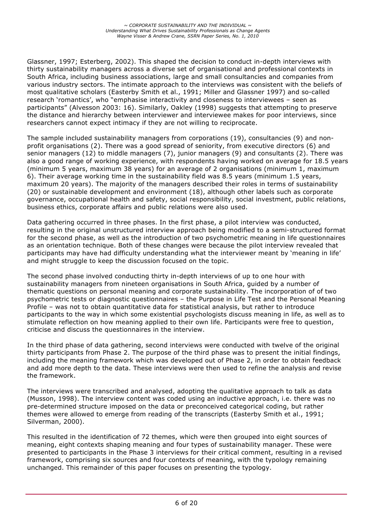Glassner, 1997; Esterberg, 2002). This shaped the decision to conduct in-depth interviews with thirty sustainability managers across a diverse set of organisational and professional contexts in South Africa, including business associations, large and small consultancies and companies from various industry sectors. The intimate approach to the interviews was consistent with the beliefs of most qualitative scholars (Easterby Smith et al., 1991; Miller and Glassner 1997) and so-called research 'romantics', who "emphasise interactivity and closeness to interviewees – seen as participants" (Alvesson 2003: 16). Similarly, Oakley (1998) suggests that attempting to preserve the distance and hierarchy between interviewer and interviewee makes for poor interviews, since researchers cannot expect intimacy if they are not willing to reciprocate.

The sample included sustainability managers from corporations (19), consultancies (9) and nonprofit organisations (2). There was a good spread of seniority, from executive directors (6) and senior managers (12) to middle managers (7), junior managers (9) and consultants (2). There was also a good range of working experience, with respondents having worked on average for 18.5 years (minimum 5 years, maximum 38 years) for an average of 2 organisations (minimum 1, maximum 6). Their average working time in the sustainability field was 8.5 years (minimum 1.5 years, maximum 20 years). The majority of the managers described their roles in terms of sustainability (20) or sustainable development and environment (18), although other labels such as corporate governance, occupational health and safety, social responsibility, social investment, public relations, business ethics, corporate affairs and public relations were also used.

Data gathering occurred in three phases. In the first phase, a pilot interview was conducted, resulting in the original unstructured interview approach being modified to a semi-structured format for the second phase, as well as the introduction of two psychometric meaning in life questionnaires as an orientation technique. Both of these changes were because the pilot interview revealed that participants may have had difficulty understanding what the interviewer meant by 'meaning in life' and might struggle to keep the discussion focused on the topic.

The second phase involved conducting thirty in-depth interviews of up to one hour with sustainability managers from nineteen organisations in South Africa, guided by a number of thematic questions on personal meaning and corporate sustainability. The incorporation of of two psychometric tests or diagnostic questionnaires – the Purpose in Life Test and the Personal Meaning Profile – was not to obtain quantitative data for statistical analysis, but rather to introduce participants to the way in which some existential psychologists discuss meaning in life, as well as to stimulate reflection on how meaning applied to their own life. Participants were free to question, criticise and discuss the questionnaires in the interview.

In the third phase of data gathering, second interviews were conducted with twelve of the original thirty participants from Phase 2. The purpose of the third phase was to present the initial findings, including the meaning framework which was developed out of Phase 2, in order to obtain feedback and add more depth to the data. These interviews were then used to refine the analysis and revise the framework.

The interviews were transcribed and analysed, adopting the qualitative approach to talk as data (Musson, 1998). The interview content was coded using an inductive approach, i.e. there was no pre-determined structure imposed on the data or preconceived categorical coding, but rather themes were allowed to emerge from reading of the transcripts (Easterby Smith et al., 1991; Silverman, 2000).

This resulted in the identification of 72 themes, which were then grouped into eight sources of meaning, eight contexts shaping meaning and four types of sustainability manager. These were presented to participants in the Phase 3 interviews for their critical comment, resulting in a revised framework, comprising six sources and four contexts of meaning, with the typology remaining unchanged. This remainder of this paper focuses on presenting the typology.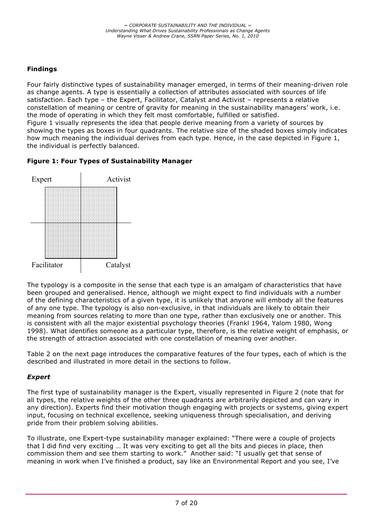# **Findings**

Four fairly distinctive types of sustainability manager emerged, in terms of their meaning-driven role as change agents. A type is essentially a collection of attributes associated with sources of life satisfaction. Each type – the Expert, Facilitator, Catalyst and Activist – represents a relative constellation of meaning or centre of gravity for meaning in the sustainability managers' work, i.e. the mode of operating in which they felt most comfortable, fulfilled or satisfied. Figure 1 visually represents the idea that people derive meaning from a variety of sources by showing the types as boxes in four quadrants. The relative size of the shaded boxes simply indicates how much meaning the individual derives from each type. Hence, in the case depicted in Figure 1, the individual is perfectly balanced.





The typology is a composite in the sense that each type is an amalgam of characteristics that have been grouped and generalised. Hence, although we might expect to find individuals with a number of the defining characteristics of a given type, it is unlikely that anyone will embody all the features of any one type. The typology is also non-exclusive, in that individuals are likely to obtain their meaning from sources relating to more than one type, rather than exclusively one or another. This is consistent with all the major existential psychology theories (Frankl 1964, Yalom 1980, Wong 1998). What identifies someone as a particular type, therefore, is the relative weight of emphasis, or the strength of attraction associated with one constellation of meaning over another.

Table 2 on the next page introduces the comparative features of the four types, each of which is the described and illustrated in more detail in the sections to follow.

# *Expert*

The first type of sustainability manager is the Expert, visually represented in Figure 2 (note that for all types, the relative weights of the other three quadrants are arbitrarily depicted and can vary in any direction). Experts find their motivation though engaging with projects or systems, giving expert input, focusing on technical excellence, seeking uniqueness through specialisation, and deriving pride from their problem solving abilities.

To illustrate, one Expert-type sustainability manager explained: "There were a couple of projects that I did find very exciting … It was very exciting to get all the bits and pieces in place, then commission them and see them starting to work." Another said: "I usually get that sense of meaning in work when I've finished a product, say like an Environmental Report and you see, I've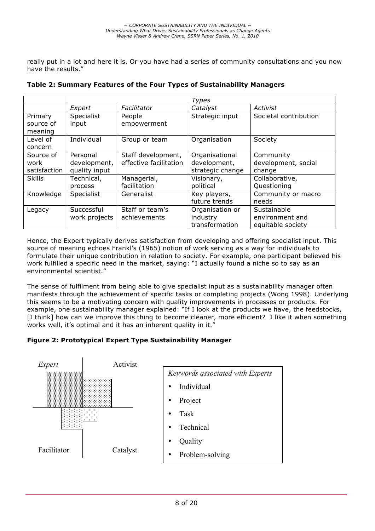really put in a lot and here it is. Or you have had a series of community consultations and you now have the results."

|                                   | <b>Types</b>                              |                                              |                                                    |                                                     |  |  |
|-----------------------------------|-------------------------------------------|----------------------------------------------|----------------------------------------------------|-----------------------------------------------------|--|--|
|                                   | Expert                                    | Facilitator                                  | Catalyst                                           | Activist                                            |  |  |
| Primary<br>source of<br>meaning   | Specialist<br>input                       | People<br>empowerment                        | Strategic input                                    | Societal contribution                               |  |  |
| Level of<br>concern               | Individual                                | Group or team                                | Organisation                                       | Society                                             |  |  |
| Source of<br>work<br>satisfaction | Personal<br>development,<br>quality input | Staff development,<br>effective facilitation | Organisational<br>development,<br>strategic change | Community<br>development, social<br>change          |  |  |
| <b>Skills</b>                     | Technical,<br>process                     | Managerial,<br>facilitation                  | Visionary,<br>political                            | Collaborative,<br>Questioning                       |  |  |
| Knowledge                         | <b>Specialist</b>                         | Generalist                                   | Key players,<br>future trends                      | Community or macro<br>needs                         |  |  |
| Legacy                            | Successful<br>work projects               | Staff or team's<br>achievements              | Organisation or<br>industry<br>transformation      | Sustainable<br>environment and<br>equitable society |  |  |

#### **Table 2: Summary Features of the Four Types of Sustainability Managers**

Hence, the Expert typically derives satisfaction from developing and offering specialist input. This source of meaning echoes Frankl's (1965) notion of work serving as a way for individuals to formulate their unique contribution in relation to society. For example, one participant believed his work fulfilled a specific need in the market, saying: "I actually found a niche so to say as an environmental scientist."

The sense of fulfilment from being able to give specialist input as a sustainability manager often manifests through the achievement of specific tasks or completing projects (Wong 1998). Underlying this seems to be a motivating concern with quality improvements in processes or products. For example, one sustainability manager explained: "If I look at the products we have, the feedstocks, [I think] how can we improve this thing to become cleaner, more efficient? I like it when something works well, it's optimal and it has an inherent quality in it."

# **Figure 2: Prototypical Expert Type Sustainability Manager**

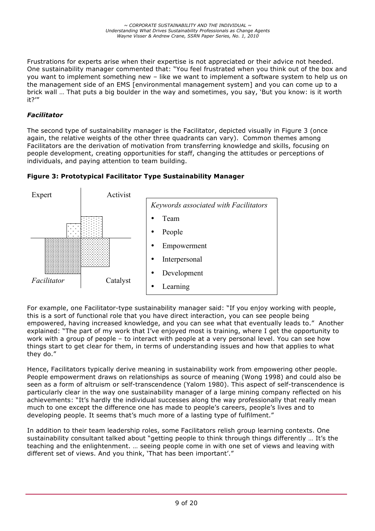Frustrations for experts arise when their expertise is not appreciated or their advice not heeded. One sustainability manager commented that: "You feel frustrated when you think out of the box and you want to implement something new – like we want to implement a software system to help us on the management side of an EMS [environmental management system] and you can come up to a brick wall … That puts a big boulder in the way and sometimes, you say, 'But you know: is it worth it?'"

# *Facilitator*

The second type of sustainability manager is the Facilitator, depicted visually in Figure 3 (once again, the relative weights of the other three quadrants can vary). Common themes among Facilitators are the derivation of motivation from transferring knowledge and skills, focusing on people development, creating opportunities for staff, changing the attitudes or perceptions of individuals, and paying attention to team building.



**Figure 3: Prototypical Facilitator Type Sustainability Manager**

For example, one Facilitator-type sustainability manager said: "If you enjoy working with people, this is a sort of functional role that you have direct interaction, you can see people being empowered, having increased knowledge, and you can see what that eventually leads to." Another explained: "The part of my work that I've enjoyed most is training, where I get the opportunity to work with a group of people – to interact with people at a very personal level. You can see how things start to get clear for them, in terms of understanding issues and how that applies to what they do."

Hence, Facilitators typically derive meaning in sustainability work from empowering other people. People empowerment draws on relationships as source of meaning (Wong 1998) and could also be seen as a form of altruism or self-transcendence (Yalom 1980). This aspect of self-transcendence is particularly clear in the way one sustainability manager of a large mining company reflected on his achievements: "It's hardly the individual successes along the way professionally that really mean much to one except the difference one has made to people's careers, people's lives and to developing people. It seems that's much more of a lasting type of fulfilment."

In addition to their team leadership roles, some Facilitators relish group learning contexts. One sustainability consultant talked about "getting people to think through things differently … It's the teaching and the enlightenment. … seeing people come in with one set of views and leaving with different set of views. And you think, 'That has been important'."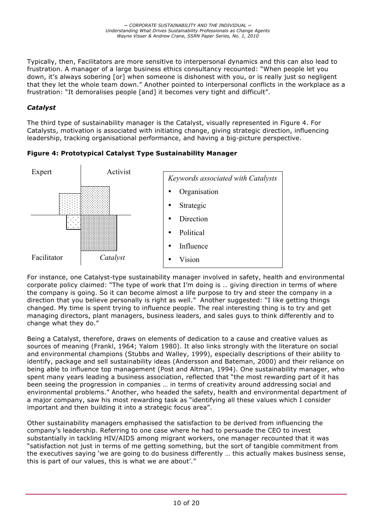Typically, then, Facilitators are more sensitive to interpersonal dynamics and this can also lead to frustration. A manager of a large business ethics consultancy recounted: "When people let you down, it's always sobering [or] when someone is dishonest with you, or is really just so negligent that they let the whole team down." Another pointed to interpersonal conflicts in the workplace as a frustration: "It demoralises people [and] it becomes very tight and difficult".

# *Catalyst*

The third type of sustainability manager is the Catalyst, visually represented in Figure 4. For Catalysts, motivation is associated with initiating change, giving strategic direction, influencing leadership, tracking organisational performance, and having a big-picture perspective.

**Figure 4: Prototypical Catalyst Type Sustainability Manager**



For instance, one Catalyst-type sustainability manager involved in safety, health and environmental corporate policy claimed: "The type of work that I'm doing is … giving direction in terms of where the company is going. So it can become almost a life purpose to try and steer the company in a direction that you believe personally is right as well." Another suggested: "I like getting things changed. My time is spent trying to influence people. The real interesting thing is to try and get managing directors, plant managers, business leaders, and sales guys to think differently and to change what they do."

Being a Catalyst, therefore, draws on elements of dedication to a cause and creative values as sources of meaning (Frankl, 1964; Yalom 1980). It also links strongly with the literature on social and environmental champions (Stubbs and Walley, 1999), especially descriptions of their ability to identify, package and sell sustainability ideas (Andersson and Bateman, 2000) and their reliance on being able to influence top management (Post and Altman, 1994). One sustainability manager, who spent many years leading a business association, reflected that "the most rewarding part of it has been seeing the progression in companies … in terms of creativity around addressing social and environmental problems." Another, who headed the safety, health and environmental department of a major company, saw his most rewarding task as "identifying all these values which I consider important and then building it into a strategic focus area".

Other sustainability managers emphasised the satisfaction to be derived from influencing the company's leadership. Referring to one case where he had to persuade the CEO to invest substantially in tackling HIV/AIDS among migrant workers, one manager recounted that it was "satisfaction not just in terms of me getting something, but the sort of tangible commitment from the executives saying 'we are going to do business differently … this actually makes business sense, this is part of our values, this is what we are about'."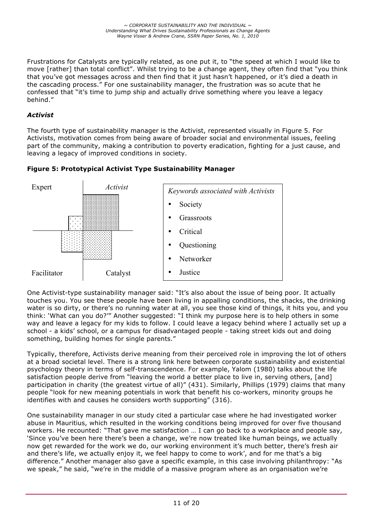Frustrations for Catalysts are typically related, as one put it, to "the speed at which I would like to move [rather] than total conflict". Whilst trying to be a change agent, they often find that "you think that you've got messages across and then find that it just hasn't happened, or it's died a death in the cascading process." For one sustainability manager, the frustration was so acute that he confessed that "it's time to jump ship and actually drive something where you leave a legacy behind."

# *Activist*

The fourth type of sustainability manager is the Activist, represented visually in Figure 5. For Activists, motivation comes from being aware of broader social and environmental issues, feeling part of the community, making a contribution to poverty eradication, fighting for a just cause, and leaving a legacy of improved conditions in society.





One Activist-type sustainability manager said: "It's also about the issue of being poor. It actually touches you. You see these people have been living in appalling conditions, the shacks, the drinking water is so dirty, or there's no running water at all, you see those kind of things, it hits you, and you think: 'What can you do?'" Another suggested: "I think my purpose here is to help others in some way and leave a legacy for my kids to follow. I could leave a legacy behind where I actually set up a school - a kids' school, or a campus for disadvantaged people - taking street kids out and doing something, building homes for single parents."

Typically, therefore, Activists derive meaning from their perceived role in improving the lot of others at a broad societal level. There is a strong link here between corporate sustainability and existential psychology theory in terms of self-transcendence. For example, Yalom (1980) talks about the life satisfaction people derive from "leaving the world a better place to live in, serving others, [and] participation in charity (the greatest virtue of all)" (431). Similarly, Phillips (1979) claims that many people "look for new meaning potentials in work that benefit his co-workers, minority groups he identifies with and causes he considers worth supporting" (316).

One sustainability manager in our study cited a particular case where he had investigated worker abuse in Mauritius, which resulted in the working conditions being improved for over five thousand workers. He recounted: "That gave me satisfaction … I can go back to a workplace and people say, 'Since you've been here there's been a change, we're now treated like human beings, we actually now get rewarded for the work we do, our working environment it's much better, there's fresh air and there's life, we actually enjoy it, we feel happy to come to work', and for me that's a big difference." Another manager also gave a specific example, in this case involving philanthropy: "As we speak," he said, "we're in the middle of a massive program where as an organisation we're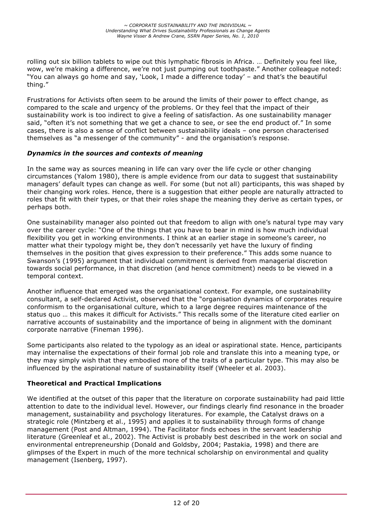rolling out six billion tablets to wipe out this lymphatic fibrosis in Africa. … Definitely you feel like, wow, we're making a difference, we're not just pumping out toothpaste." Another colleague noted: "You can always go home and say, 'Look, I made a difference today' – and that's the beautiful thing."

Frustrations for Activists often seem to be around the limits of their power to effect change, as compared to the scale and urgency of the problems. Or they feel that the impact of their sustainability work is too indirect to give a feeling of satisfaction. As one sustainability manager said, "often it's not something that we get a chance to see, or see the end product of." In some cases, there is also a sense of conflict between sustainability ideals – one person characterised themselves as "a messenger of the community" - and the organisation's response.

#### *Dynamics in the sources and contexts of meaning*

In the same way as sources meaning in life can vary over the life cycle or other changing circumstances (Yalom 1980), there is ample evidence from our data to suggest that sustainability managers' default types can change as well. For some (but not all) participants, this was shaped by their changing work roles. Hence, there is a suggestion that either people are naturally attracted to roles that fit with their types, or that their roles shape the meaning they derive as certain types, or perhaps both.

One sustainability manager also pointed out that freedom to align with one's natural type may vary over the career cycle: "One of the things that you have to bear in mind is how much individual flexibility you get in working environments. I think at an earlier stage in someone's career, no matter what their typology might be, they don't necessarily yet have the luxury of finding themselves in the position that gives expression to their preference." This adds some nuance to Swanson's (1995) argument that individual commitment is derived from managerial discretion towards social performance, in that discretion (and hence commitment) needs to be viewed in a temporal context.

Another influence that emerged was the organisational context. For example, one sustainability consultant, a self-declared Activist, observed that the "organisation dynamics of corporates require conformism to the organisational culture, which to a large degree requires maintenance of the status quo … this makes it difficult for Activists." This recalls some of the literature cited earlier on narrative accounts of sustainability and the importance of being in alignment with the dominant corporate narrative (Fineman 1996).

Some participants also related to the typology as an ideal or aspirational state. Hence, participants may internalise the expectations of their formal job role and translate this into a meaning type, or they may simply wish that they embodied more of the traits of a particular type. This may also be influenced by the aspirational nature of sustainability itself (Wheeler et al. 2003).

#### **Theoretical and Practical Implications**

We identified at the outset of this paper that the literature on corporate sustainability had paid little attention to date to the individual level. However, our findings clearly find resonance in the broader management, sustainability and psychology literatures. For example, the Catalyst draws on a strategic role (Mintzberg et al., 1995) and applies it to sustainability through forms of change management (Post and Altman, 1994). The Facilitator finds echoes in the servant leadership literature (Greenleaf et al., 2002). The Activist is probably best described in the work on social and environmental entrepreneurship (Donald and Goldsby, 2004; Pastakia, 1998) and there are glimpses of the Expert in much of the more technical scholarship on environmental and quality management (Isenberg, 1997).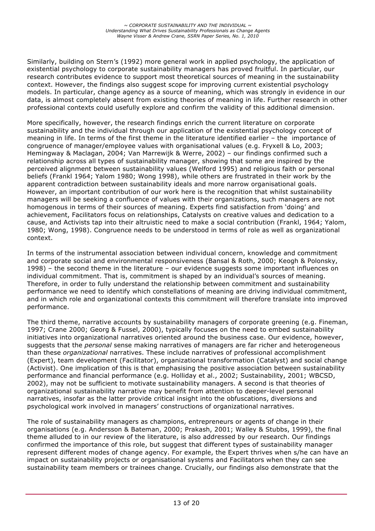Similarly, building on Stern's (1992) more general work in applied psychology, the application of existential psychology to corporate sustainability managers has proved fruitful. In particular, our research contributes evidence to support most theoretical sources of meaning in the sustainability context. However, the findings also suggest scope for improving current existential psychology models. In particular, change agency as a source of meaning, which was strongly in evidence in our data, is almost completely absent from existing theories of meaning in life. Further research in other professional contexts could usefully explore and confirm the validity of this additional dimension.

More specifically, however, the research findings enrich the current literature on corporate sustainability and the individual through our application of the existential psychology concept of meaning in life. In terms of the first theme in the literature identified earlier – the importance of congruence of manager/employee values with organisational values (e.g. Fryxell & Lo, 2003; Hemingway & Maclagan, 2004; Van Marrewijk & Werre, 2002) – our findings confirmed such a relationship across all types of sustainability manager, showing that some are inspired by the perceived alignment between sustainability values (Welford 1995) and religious faith or personal beliefs (Frankl 1964; Yalom 1980; Wong 1998), while others are frustrated in their work by the apparent contradiction between sustainability ideals and more narrow organisational goals. However, an important contribution of our work here is the recognition that whilst sustainability managers will be seeking a confluence of values with their organizations, such managers are not homogenous in terms of their sources of meaning. Experts find satisfaction from 'doing' and achievement, Facilitators focus on relationships, Catalysts on creative values and dedication to a cause, and Activists tap into their altruistic need to make a social contribution (Frankl, 1964; Yalom, 1980; Wong, 1998). Congruence needs to be understood in terms of role as well as organizational context.

In terms of the instrumental association between individual concern, knowledge and commitment and corporate social and environmental responsiveness (Bansal & Roth, 2000; Keogh & Polonsky, 1998) – the second theme in the literature – our evidence suggests some important influences on individual commitment. That is, commitment is shaped by an individual's sources of meaning. Therefore, in order to fully understand the relationship between commitment and sustainability performance we need to identify which constellations of meaning are driving individual commitment, and in which role and organizational contexts this commitment will therefore translate into improved performance.

The third theme, narrative accounts by sustainability managers of corporate greening (e.g. Fineman, 1997; Crane 2000; Georg & Fussel, 2000), typically focuses on the need to embed sustainability initiatives into organizational narratives oriented around the business case. Our evidence, however, suggests that the *personal* sense making narratives of managers are far richer and heterogeneous than these *organizational* narratives. These include narratives of professional accomplishment (Expert), team development (Facilitator), organizational transformation (Catalyst) and social change (Activist). One implication of this is that emphasising the positive association between sustainability performance and financial performance (e.g. Holliday et al., 2002; Sustainability, 2001; WBCSD, 2002), may not be sufficient to motivate sustainability managers. A second is that theories of organizational sustainability narrative may benefit from attention to deeper-level personal narratives, insofar as the latter provide critical insight into the obfuscations, diversions and psychological work involved in managers' constructions of organizational narratives.

The role of sustainability managers as champions, entrepreneurs or agents of change in their organisations (e.g. Andersson & Bateman, 2000; Prakash, 2001; Walley & Stubbs, 1999), the final theme alluded to in our review of the literature, is also addressed by our research. Our findings confirmed the importance of this role, but suggest that different types of sustainability manager represent different modes of change agency. For example, the Expert thrives when s/he can have an impact on sustainability projects or organisational systems and Facilitators when they can see sustainability team members or trainees change. Crucially, our findings also demonstrate that the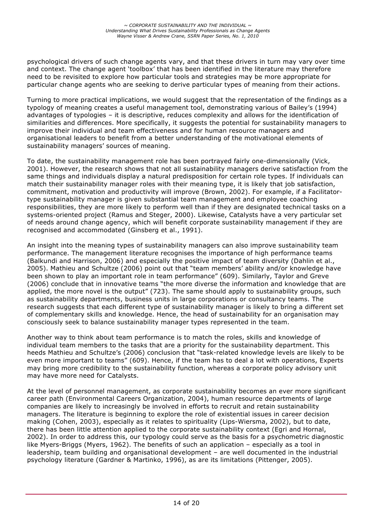psychological drivers of such change agents vary, and that these drivers in turn may vary over time and context. The change agent 'toolbox' that has been identified in the literature may therefore need to be revisited to explore how particular tools and strategies may be more appropriate for particular change agents who are seeking to derive particular types of meaning from their actions.

Turning to more practical implications, we would suggest that the representation of the findings as a typology of meaning creates a useful management tool, demonstrating various of Bailey's (1994) advantages of typologies – it is descriptive, reduces complexity and allows for the identification of similarities and differences. More specifically, it suggests the potential for sustainability managers to improve their individual and team effectiveness and for human resource managers and organisational leaders to benefit from a better understanding of the motivational elements of sustainability managers' sources of meaning.

To date, the sustainability management role has been portrayed fairly one-dimensionally (Vick, 2001). However, the research shows that not all sustainability managers derive satisfaction from the same things and individuals display a natural predisposition for certain role types. If individuals can match their sustainability manager roles with their meaning type, it is likely that job satisfaction, commitment, motivation and productivity will improve (Brown, 2002). For example, if a Facilitatortype sustainability manager is given substantial team management and employee coaching responsibilities, they are more likely to perform well than if they are designated technical tasks on a systems-oriented project (Ramus and Steger, 2000). Likewise, Catalysts have a very particular set of needs around change agency, which will benefit corporate sustainability management if they are recognised and accommodated (Ginsberg et al., 1991).

An insight into the meaning types of sustainability managers can also improve sustainability team performance. The management literature recognises the importance of high performance teams (Balkundi and Harrison, 2006) and especially the positive impact of team diversity (Dahlin et al., 2005). Mathieu and Schultze (2006) point out that "team members' ability and/or knowledge have been shown to play an important role in team performance" (609). Similarly, Taylor and Greve (2006) conclude that in innovative teams "the more diverse the information and knowledge that are applied, the more novel is the output" (723). The same should apply to sustainability groups, such as sustainability departments, business units in large corporations or consultancy teams. The research suggests that each different type of sustainability manager is likely to bring a different set of complementary skills and knowledge. Hence, the head of sustainability for an organisation may consciously seek to balance sustainability manager types represented in the team.

Another way to think about team performance is to match the roles, skills and knowledge of individual team members to the tasks that are a priority for the sustainability department. This heeds Mathieu and Schultze's (2006) conclusion that "task-related knowledge levels are likely to be even more important to teams" (609). Hence, if the team has to deal a lot with operations, Experts may bring more credibility to the sustainability function, whereas a corporate policy advisory unit may have more need for Catalysts.

At the level of personnel management, as corporate sustainability becomes an ever more significant career path (Environmental Careers Organization, 2004), human resource departments of large companies are likely to increasingly be involved in efforts to recruit and retain sustainability managers. The literature is beginning to explore the role of existential issues in career decision making (Cohen, 2003), especially as it relates to spirituality (Lips-Wiersma, 2002), but to date, there has been little attention applied to the corporate sustainability context (Egri and Hornal, 2002). In order to address this, our typology could serve as the basis for a psychometric diagnostic like Myers-Briggs (Myers, 1962). The benefits of such an application – especially as a tool in leadership, team building and organisational development – are well documented in the industrial psychology literature (Gardner & Martinko, 1996), as are its limitations (Pittenger, 2005).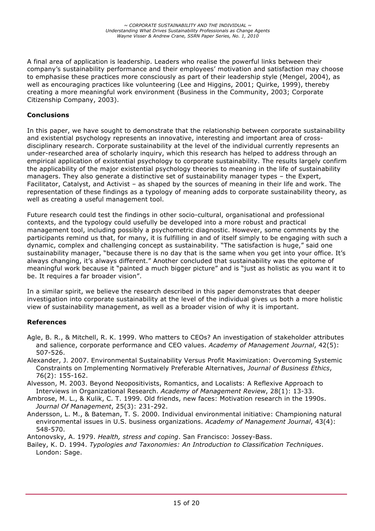A final area of application is leadership. Leaders who realise the powerful links between their company's sustainability performance and their employees' motivation and satisfaction may choose to emphasise these practices more consciously as part of their leadership style (Mengel, 2004), as well as encouraging practices like volunteering (Lee and Higgins, 2001; Quirke, 1999), thereby creating a more meaningful work environment (Business in the Community, 2003; Corporate Citizenship Company, 2003).

#### **Conclusions**

In this paper, we have sought to demonstrate that the relationship between corporate sustainability and existential psychology represents an innovative, interesting and important area of crossdisciplinary research. Corporate sustainability at the level of the individual currently represents an under-researched area of scholarly inquiry, which this research has helped to address through an empirical application of existential psychology to corporate sustainability. The results largely confirm the applicability of the major existential psychology theories to meaning in the life of sustainability managers. They also generate a distinctive set of sustainability manager types – the Expert, Facilitator, Catalyst, and Activist – as shaped by the sources of meaning in their life and work. The representation of these findings as a typology of meaning adds to corporate sustainability theory, as well as creating a useful management tool.

Future research could test the findings in other socio-cultural, organisational and professional contexts, and the typology could usefully be developed into a more robust and practical management tool, including possibly a psychometric diagnostic. However, some comments by the participants remind us that, for many, it is fulfilling in and of itself simply to be engaging with such a dynamic, complex and challenging concept as sustainability. "The satisfaction is huge," said one sustainability manager, "because there is no day that is the same when you get into your office. It's always changing, it's always different." Another concluded that sustainability was the epitome of meaningful work because it "painted a much bigger picture" and is "just as holistic as you want it to be. It requires a far broader vision".

In a similar spirit, we believe the research described in this paper demonstrates that deeper investigation into corporate sustainability at the level of the individual gives us both a more holistic view of sustainability management, as well as a broader vision of why it is important.

#### **References**

- Agle, B. R., & Mitchell, R. K. 1999. Who matters to CEOs? An investigation of stakeholder attributes and salience, corporate performance and CEO values. *Academy of Management Journal*, 42(5): 507-526.
- Alexander, J. 2007. Environmental Sustainability Versus Profit Maximization: Overcoming Systemic Constraints on Implementing Normatively Preferable Alternatives, *Journal of Business Ethics*, 76(2): 155-162.
- Alvesson, M. 2003. Beyond Neopositivists, Romantics, and Localists: A Reflexive Approach to Interviews in Organizational Research. *Academy of Management Review*, 28(1): 13-33.
- Ambrose, M. L., & Kulik, C. T. 1999. Old friends, new faces: Motivation research in the 1990s. *Journal Of Management*, 25(3): 231-292.
- Andersson, L. M., & Bateman, T. S. 2000. Individual environmental initiative: Championing natural environmental issues in U.S. business organizations. *Academy of Management Journal*, 43(4): 548-570.

Antonovsky, A. 1979. *Health, stress and coping*. San Francisco: Jossey-Bass.

Bailey, K. D. 1994. *Typologies and Taxonomies: An Introduction to Classification Techniques*. London: Sage.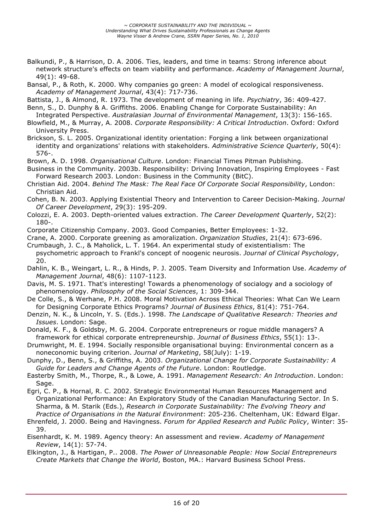Balkundi, P., & Harrison, D. A. 2006. Ties, leaders, and time in teams: Strong inference about network structure's effects on team viability and performance. *Academy of Management Journal*, 49(1): 49-68.

Bansal, P., & Roth, K. 2000. Why companies go green: A model of ecological responsiveness. *Academy of Management Journal*, 43(4): 717-736.

Battista, J., & Almond, R. 1973. The development of meaning in life. *Psychiatry*, 36: 409-427.

Benn, S., D. Dunphy & A. Griffiths. 2006. Enabling Change for Corporate Sustainability: An Integrated Perspective. *Australasian Journal of Environmental Management*, 13(3): 156-165.

- Blowfield, M., & Murray, A. 2008. *Corporate Responsibility: A Critical Introduction*. Oxford: Oxford University Press.
- Brickson, S. L. 2005. Organizational identity orientation: Forging a link between organizational identity and organizations' relations with stakeholders. *Administrative Science Quarterly*, 50(4): 576-.
- Brown, A. D. 1998. *Organisational Culture*. London: Financial Times Pitman Publishing.
- Business in the Community. 2003b. Responsibility: Driving Innovation, Inspiring Employees Fast Forward Research 2003. London: Business in the Community (BitC).
- Christian Aid. 2004. *Behind The Mask: The Real Face Of Corporate Social Responsibility*, London: Christian Aid.
- Cohen, B. N. 2003. Applying Existential Theory and Intervention to Career Decision-Making. *Journal Of Career Development*, 29(3): 195-209.
- Colozzi, E. A. 2003. Depth-oriented values extraction. *The Career Development Quarterly*, 52(2): 180-.
- Corporate Citizenship Company. 2003. Good Companies, Better Employees: 1-32.
- Crane, A. 2000. Corporate greening as amoralization. *Organization Studies*, 21(4): 673-696.
- Crumbaugh, J. C., & Maholick, L. T. 1964. An experimental study of existentialism: The psychometric approach to Frankl's concept of noogenic neurosis. *Journal of Clinical Psychology*, 20.
- Dahlin, K. B., Weingart, L. R., & Hinds, P. J. 2005. Team Diversity and Information Use. *Academy of Management Journal*, 48(6): 1107-1123.
- Davis, M. S. 1971. That's interesting! Towards a phenomenology of socialogy and a sociology of phenomenology. *Philosophy of the Social Sciences*, 1: 309-344.
- De Colle, S., & Werhane, P.H. 2008. Moral Motivation Across Ethical Theories: What Can We Learn for Designing Corporate Ethics Programs? *Journal of Business Ethics*, 81(4): 751-764.
- Denzin, N. K., & Lincoln, Y. S. (Eds.). 1998. *The Landscape of Qualitative Research: Theories and Issues*. London: Sage.
- Donald, K. F., & Goldsby, M. G. 2004. Corporate entrepreneurs or rogue middle managers? A framework for ethical corporate entrepreneurship. *Journal of Business Ethics*, 55(1): 13-.
- Drumwright, M. E. 1994. Socially responsible organisational buying: Environmental concern as a noneconomic buying criterion. *Journal of Marketing*, 58(July): 1-19.
- Dunphy, D., Benn, S., & Griffiths, A. 2003. *Organizational Change for Corporate Sustainability: A Guide for Leaders and Change Agents of the Future*. London: Routledge.
- Easterby Smith, M., Thorpe, R., & Lowe, A. 1991. *Management Research: An Introduction*. London: Sage.
- Egri, C. P., & Hornal, R. C. 2002. Strategic Environmental Human Resources Management and Organizational Performance: An Exploratory Study of the Canadian Manufacturing Sector. In S. Sharma, & M. Starik (Eds.), *Research in Corporate Sustainability: The Evolving Theory and Practice of Organisations in the Natural Environment*: 205-236. Cheltenham, UK: Edward Elgar.
- Ehrenfeld, J. 2000. Being and Havingness. *Forum for Applied Research and Public Policy*, Winter: 35- 39.
- Eisenhardt, K. M. 1989. Agency theory: An assessment and review. *Academy of Management Review*, 14(1): 57-74.
- Elkington, J., & Hartigan, P.. 2008. *The Power of Unreasonable People: How Social Entrepreneurs Create Markets that Change the World*, Boston, MA.: Harvard Business School Press.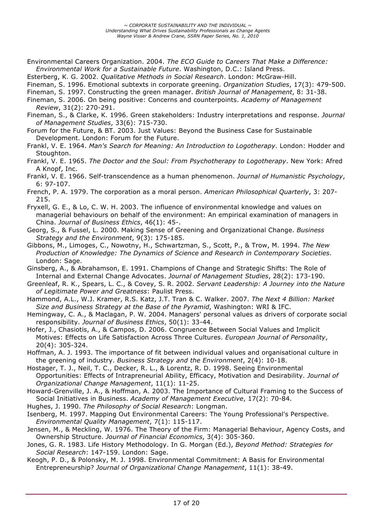- Environmental Careers Organization. 2004. *The ECO Guide to Careers That Make a Difference: Environmental Work for a Sustainable Future*. Washington, D.C.: Island Press.
- Esterberg, K. G. 2002. *Qualitative Methods in Social Research*. London: McGraw-Hill.
- Fineman, S. 1996. Emotional subtexts in corporate greening. *Organization Studies*, 17(3): 479-500.
- Fineman, S. 1997. Constructing the green manager. *British Journal of Management*, 8: 31-38.
- Fineman, S. 2006. On being positive: Concerns and counterpoints. *Academy of Management Review*, 31(2): 270-291.
- Fineman, S., & Clarke, K. 1996. Green stakeholders: Industry interpretations and response. *Journal of Management Studies*, 33(6): 715-730.
- Forum for the Future, & BT. 2003. Just Values: Beyond the Business Case for Sustainable Development. London: Forum for the Future.
- Frankl, V. E. 1964. *Man's Search for Meaning: An Introduction to Logotherapy*. London: Hodder and Stoughton.
- Frankl, V. E. 1965. *The Doctor and the Soul: From Psychotherapy to Logotherapy*. New York: Afred A Knopf, Inc.
- Frankl, V. E. 1966. Self-transcendence as a human phenomenon. *Journal of Humanistic Psychology*, 6: 97-107.
- French, P. A. 1979. The corporation as a moral person. *American Philosophical Quarterly*, 3: 207- 215.
- Fryxell, G. E., & Lo, C. W. H. 2003. The influence of environmental knowledge and values on managerial behaviours on behalf of the environment: An empirical examination of managers in China. *Journal of Business Ethics*, 46(1): 45-.
- Georg, S., & Fussel, L. 2000. Making Sense of Greening and Organizational Change. *Business Strategy and the Environment*, 9(3): 175-185.
- Gibbons, M., Limoges, C., Nowotny, H., Schwartzman, S., Scott, P., & Trow, M. 1994. *The New Production of Knowledge: The Dynamics of Science and Research in Contemporary Societies*. London: Sage.
- Ginsberg, A., & Abrahamson, E. 1991. Champions of Change and Strategic Shifts: The Role of Internal and External Change Advocates. *Journal of Management Studies*, 28(2): 173-190.
- Greenleaf, R. K., Spears, L. C., & Covey, S. R. 2002. *Servant Leadership: A Journey into the Nature of Legitimate Power and Greatness*: Paulist Press.
- Hammond, A.L., W.J. Kramer, R.S. Katz, J.T. Tran & C. Walker. 2007. *The Next 4 Billion: Market Size and Business Strategy at the Base of the Pyramid*, Washington: WRI & IFC.
- Hemingway, C. A., & Maclagan, P. W. 2004. Managers' personal values as drivers of corporate social responsibility. *Journal of Business Ethics*, 50(1): 33-44.
- Hofer, J., Chasiotis, A., & Campos, D. 2006. Congruence Between Social Values and Implicit Motives: Effects on Life Satisfaction Across Three Cultures. *European Journal of Personality*, 20(4): 305-324.
- Hoffman, A. J. 1993. The importance of fit between individual values and organisational culture in the greening of industry. *Business Strategy and the Environment*, 2(4): 10-18.
- Hostager, T. J., Neil, T. C., Decker, R. L., & Lorentz, R. D. 1998. Seeing Environmental Opportunities: Effects of Intrapreneurial Ability, Efficacy, Motivation and Desirability. *Journal of Organizational Change Management*, 11(1): 11-25.
- Howard-Grenville, J. A., & Hoffman, A. 2003. The Importance of Cultural Framing to the Success of Social Initiatives in Business. *Academy of Management Executive*, 17(2): 70-84.
- Hughes, J. 1990. *The Philosophy of Social Research*: Longman.
- Isenberg, M. 1997. Mapping Out Environmental Careers: The Young Professional's Perspective. *Environmental Quality Management*, 7(1): 115-117.
- Jensen, M., & Meckling, W. 1976. The Theory of the Firm: Managerial Behaviour, Agency Costs, and Ownership Structure. *Journal of Financial Economics*, 3(4): 305-360.
- Jones, G. R. 1983. Life History Methodology. In G. Morgan (Ed.), *Beyond Method: Strategies for Social Research*: 147-159. London: Sage.
- Keogh, P. D., & Polonsky, M. J. 1998. Environmental Commitment: A Basis for Environmental Entrepreneurship? *Journal of Organizational Change Management*, 11(1): 38-49.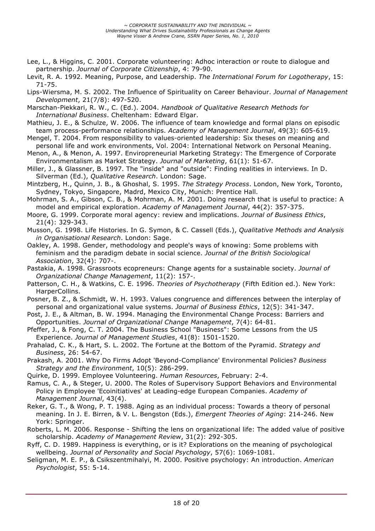- Lee, L., & Higgins, C. 2001. Corporate volunteering: Adhoc interaction or route to dialogue and partnership. *Journal of Corporate Citizenship*, 4: 79-90.
- Levit, R. A. 1992. Meaning, Purpose, and Leadership. *The International Forum for Logotherapy*, 15: 71-75.
- Lips-Wiersma, M. S. 2002. The Influence of Spirituality on Career Behaviour. *Journal of Management Development*, 21(7/8): 497-520.
- Marschan-Piekkari, R. W., C. (Ed.). 2004. *Handbook of Qualitative Research Methods for International Business*. Cheltenham: Edward Elgar.
- Mathieu, J. E., & Schulze, W. 2006. The influence of team knowledge and formal plans on episodic team process-performance relationships. *Academy of Management Journal*, 49(3): 605-619.
- Mengel, T. 2004. From responsibility to values-oriented leadership: Six theses on meaning and personal life and work environments, Vol. 2004: International Network on Personal Meaning.
- Menon, A., & Menon, A. 1997. Enviropreneurial Marketing Strategy: The Emergence of Corporate Environmentalism as Market Strategy. *Journal of Marketing*, 61(1): 51-67.
- Miller, J., & Glassner, B. 1997. The "inside" and "outside": Finding realities in interviews. In D. Silverman (Ed.), *Qualitative Research*. London: Sage.
- Mintzberg, H., Quinn, J. B., & Ghoshal, S. 1995. *The Strategy Process*. London, New York, Toronto, Sydney, Tokyo, Singapore, Madrd, Mexico City, Munich: Prentice Hall.
- Mohrman, S. A., Gibson, C. B., & Mohrman, A. M. 2001. Doing research that is useful to practice: A model and empirical exploration. *Academy of Management Journal*, 44(2): 357-375.
- Moore, G. 1999. Corporate moral agency: review and implications. *Journal of Business Ethics*, 21(4): 329-343.
- Musson, G. 1998. Life Histories. In G. Symon, & C. Cassell (Eds.), *Qualitative Methods and Analysis in Organisational Research*. London: Sage.
- Oakley, A. 1998. Gender, methodology and people's ways of knowing: Some problems with feminism and the paradigm debate in social science. *Journal of the British Sociological Association*, 32(4): 707-.
- Pastakia, A. 1998. Grassroots ecopreneurs: Change agents for a sustainable society. *Journal of Organizational Change Management*, 11(2): 157-.
- Patterson, C. H., & Watkins, C. E. 1996. *Theories of Psychotherapy* (Fifth Edition ed.). New York: HarperCollins.
- Posner, B. Z., & Schmidt, W. H. 1993. Values congruence and differences between the interplay of personal and organizational value systems. *Journal of Business Ethics*, 12(5): 341-347.
- Post, J. E., & Altman, B. W. 1994. Managing the Environmental Change Process: Barriers and Opportunities. *Journal of Organizational Change Management*, 7(4): 64-81.
- Pfeffer, J., & Fong, C. T. 2004. The Business School "Business": Some Lessons from the US Experience. *Journal of Management Studies*, 41(8): 1501-1520.
- Prahalad, C. K., & Hart, S. L. 2002. The Fortune at the Bottom of the Pyramid. *Strategy and Business*, 26: 54-67.
- Prakash, A. 2001. Why Do Firms Adopt 'Beyond-Compliance' Environmental Policies? *Business Strategy and the Environment*, 10(5): 286-299.
- Quirke, D. 1999. Employee Volunteering. *Human Resources*, February: 2-4.
- Ramus, C. A., & Steger, U. 2000. The Roles of Supervisory Support Behaviors and Environmental Policy in Employee 'Ecoinitiatives' at Leading-edge European Companies. *Academy of Management Journal*, 43(4).
- Reker, G. T., & Wong, P. T. 1988. Aging as an individual process: Towards a theory of personal meaning. In J. E. Birren, & V. L. Bengston (Eds.), *Emergent Theories of Aging*: 214-246. New York: Springer.
- Roberts, L. M. 2006. Response Shifting the lens on organizational life: The added value of positive scholarship. *Academy of Management Review*, 31(2): 292-305.
- Ryff, C. D. 1989. Happiness is everything, or is it? Explorations on the meaning of psychological wellbeing. *Journal of Personality and Social Psychology*, 57(6): 1069-1081.
- Seligman, M. E. P., & Csikszentmihalyi, M. 2000. Positive psychology: An introduction. *American Psychologist*, 55: 5-14.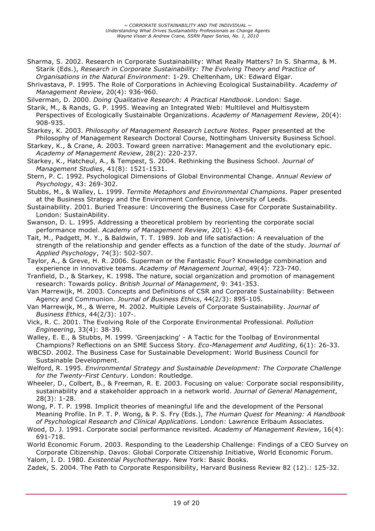- Sharma, S. 2002. Research in Corporate Sustainability: What Really Matters? In S. Sharma, & M. Starik (Eds.), *Research in Corporate Sustainability: The Evolving Theory and Practice of Organisations in the Natural Environment*: 1-29. Cheltenham, UK: Edward Elgar.
- Shrivastava, P. 1995. The Role of Corporations in Achieving Ecological Sustainability. *Academy of Management Review*, 20(4): 936-960.
- Silverman, D. 2000. *Doing Qualitative Research: A Practical Handbook*. London: Sage.
- Starik, M., & Rands, G. P. 1995. Weaving an Integrated Web: Multilevel and Multisystem Perspectives of Ecologically Sustainable Organizations. *Academy of Management Review*, 20(4): 908-935.
- Starkey, K. 2003. *Philosophy of Management Research Lecture Notes*. Paper presented at the Philosophy of Management Research Doctoral Course, Nottingham University Business School.
- Starkey, K., & Crane, A. 2003. Toward green narrative: Management and the evolutionary epic. *Academy of Management Review*, 28(2): 220-237.
- Starkey, K., Hatcheul, A., & Tempest, S. 2004. Rethinking the Business School. *Journal of Management Studies*, 41(8): 1521-1531.
- Stern, P. C. 1992. Psychological Dimensions of Global Environmental Change. *Annual Review of Psychology*, 43: 269-302.
- Stubbs, M., & Walley, L. 1999. *Termite Metaphors and Environmental Champions*. Paper presented at the Business Strategy and the Environment Conference, University of Leeds.
- Sustainability. 2001. Buried Treasure: Uncovering the Business Case for Corporate Sustainability. London: SustainAbility.
- Swanson, D. L. 1995. Addressing a theoretical problem by reorienting the corporate social performance model. *Academy of Management Review*, 20(1): 43-64.
- Tait, M., Padgett, M. Y., & Baldwin, T. T. 1989. Job and life satisfaction: A reevaluation of the strength of the relationship and gender effects as a function of the date of the study. *Journal of Applied Psychology*, 74(3): 502-507.
- Taylor, A., & Greve, H. R. 2006. Superman or the Fantastic Four? Knowledge combination and experience in innovative teams. *Academy of Management Journal*, 49(4): 723-740.
- Tranfield, D., & Starkey, K. 1998. The nature, social organization and promotion of management research: Towards policy. *British Journal of Management*, 9: 341-353.
- Van Marrewijk, M. 2003. Concepts and Definitions of CSR and Corporate Sustainability: Between Agency and Communion. *Journal of Business Ethics*, 44(2/3): 895-105.

Van Marrewijk, M., & Werre, M. 2002. Multiple Levels of Corporate Sustainability. *Journal of Business Ethics*, 44(2/3): 107-.

- Vick, R. C. 2001. The Evolving Role of the Corporate Environmental Professional. *Pollution Engineering*, 33(4): 38-39.
- Walley, E. E., & Stubbs, M. 1999. 'Greenjacking' A Tactic for the Toolbag of Environmental Champions? Reflections on an SME Success Story. *Eco-Management and Auditing*, 6(1): 26-33.
- WBCSD. 2002. The Business Case for Sustainable Development: World Business Council for Sustainable Development.
- Welford, R. 1995. *Environmental Strategy and Sustainable Development: The Corporate Challenge for the Twenty-First Century*. London: Routledge.
- Wheeler, D., Colbert, B., & Freeman, R. E. 2003. Focusing on value: Corporate social responsibility, sustainability and a stakeholder approach in a network world. *Journal of General Management*, 28(3): 1-28.
- Wong, P. T. P. 1998. Implicit theories of meaningful life and the development of the Personal Meaning Profile. In P. T. P. Wong, & P. S. Fry (Eds.), *The Human Quest for Meaning: A Handbook of Psychological Research and Clinical Applications*. London: Lawrence Erlbaum Associates.
- Wood, D. J. 1991. Corporate social performance revisited. *Academy of Management Review*, 16(4): 691-718.

World Economic Forum. 2003. Responding to the Leadership Challenge: Findings of a CEO Survey on Corporate Citizenship. Davos: Global Corporate Citizenship Initiative, World Economic Forum.

Yalom, I. D. 1980. *Existential Psychotherapy*. New York: Basic Books.

Zadek, S. 2004. The Path to Corporate Responsibility, Harvard Business Review 82 (12).: 125-32.